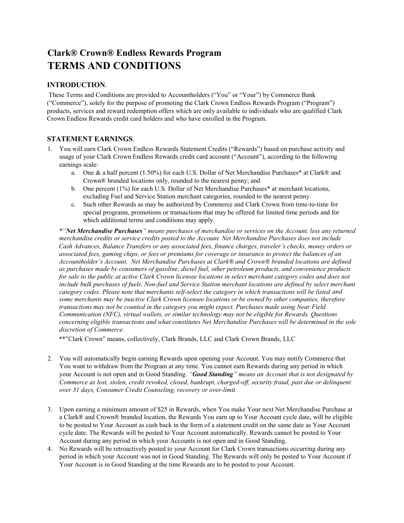## **Clark® Crown® Endless Rewards Program TERMS AND CONDITIONS**

## **INTRODUCTION**.

These Terms and Conditions are provided to Accountholders ("You" or "Your") by Commerce Bank ("Commerce"), solely for the purpose of promoting the Clark Crown Endless Rewards Program ("Program") products, services and reward redemption offers which are only available to individuals who are qualified Clark Crown Endless Rewards credit card holders and who have enrolled in the Program.

## **STATEMENT EARNINGS**.

- 1. You will earn Clark Crown Endless Rewards Statement Credits ("Rewards") based on purchase activity and usage of your Clark Crown Endless Rewards credit card account ("Account"), according to the following earnings scale:
	- a. One & a half percent (1.50%) for each U.S. Dollar of Net Merchandise Purchases\* at Clark® and Crown® branded locations only, rounded to the nearest penny; and
	- b. One percent (1%) for each U.S. Dollar of Net Merchandise Purchases<sup>\*</sup> at merchant locations, excluding Fuel and Service Station merchant categories, rounded to the nearest penny.
	- c. Such other Rewards as may be authorized by Commerce and Clark Crown from time-to-time for special programs, promotions or transactions that may be offered for limited time periods and for which additional terms and conditions may apply.

*\*"Net Merchandise Purchases" means purchases of merchandise or services on the Account, less any returned merchandise credits or service credits posted to the Account. Net Merchandise Purchases does not include Cash Advances, Balance Transfers or any associated fees, finance charges, traveler's checks, money orders or associated fees, gaming chips, or fees or premiums for coverage or insurance to protect the balances of an Accountholder's Account. Net Merchandise Purchases at Clark® and Crown® branded locations are defined as purchases made by consumers of gasoline, diesel fuel, other petroleum products, and convenience products for sale to the public at active Clark Crown licensee locations in select merchant category codes and does not include bulk purchases of fuels. Non-fuel and Service Station merchant locations are defined by select merchant category codes. Please note that merchants self-select the category in which transactions will be listed and some merchants may be inactive Clark Crown licensee locations or be owned by other companies, therefore transactions may not be counted in the category you might expect. Purchases made using Near Field Communication (NFC), virtual wallets, or similar technology may not be eligible for Rewards. Questions concerning eligible transactions and what constitutes Net Merchandise Purchases will be determined in the sole discretion of Commerce.* 

\*\*"Clark Crown" means, collectively, Clark Brands, LLC and Clark Crown Brands, LLC

- 2. You will automatically begin earning Rewards upon opening your Account. You may notify Commerce that You want to withdraw from the Program at any time. You cannot earn Rewards during any period in which your Account is not open and in Good Standing. *"Good Standing" means an Account that is not designated by Commerce as lost, stolen, credit revoked, closed, bankrupt, charged-off, security fraud, past due or delinquent over 31 days, Consumer Credit Counseling, recovery or over-limit.*
- 3. Upon earning a minimum amount of \$25 in Rewards, when You make Your next Net Merchandise Purchase at a Clark® and Crown® branded location, the Rewards You earn up to Your Account cycle date, will be eligible to be posted to Your Account as cash back in the form of a statement credit on the same date as Your Account cycle date. The Rewards will be posted to Your Account automatically. Rewards cannot be posted to Your Account during any period in which your Accounts is not open and in Good Standing.
- 4. No Rewards will be retroactively posted to your Account for Clark Crown transactions occurring during any period in which your Account was not in Good Standing. The Rewards will only be posted to Your Account if Your Account is in Good Standing at the time Rewards are to be posted to your Account.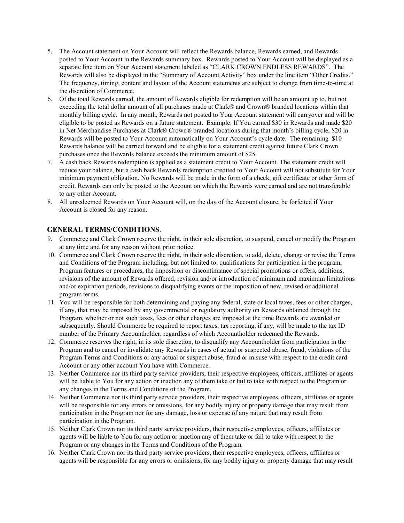- 5. The Account statement on Your Account will reflect the Rewards balance, Rewards earned, and Rewards posted to Your Account in the Rewards summary box. Rewards posted to Your Account will be displayed as a separate line item on Your Account statement labeled as "CLARK CROWN ENDLESS REWARDS". The Rewards will also be displayed in the "Summary of Account Activity" box under the line item "Other Credits." The frequency, timing, content and layout of the Account statements are subject to change from time-to-time at the discretion of Commerce.
- 6. Of the total Rewards earned, the amount of Rewards eligible for redemption will be an amount up to, but not exceeding the total dollar amount of all purchases made at Clark® and Crown® branded locations within that monthly billing cycle. In any month, Rewards not posted to Your Account statement will carryover and will be eligible to be posted as Rewards on a future statement. Example: If You earned \$30 in Rewards and made \$20 in Net Merchandise Purchases at Clark® Crown® branded locations during that month's billing cycle, \$20 in Rewards will be posted to Your Account automatically on Your Account's cycle date. The remaining \$10 Rewards balance will be carried forward and be eligible for a statement credit against future Clark Crown purchases once the Rewards balance exceeds the minimum amount of \$25.
- 7. A cash back Rewards redemption is applied as a statement credit to Your Account. The statement credit will reduce your balance, but a cash back Rewards redemption credited to Your Account will not substitute for Your minimum payment obligation. No Rewards will be made in the form of a check, gift certificate or other form of credit. Rewards can only be posted to the Account on which the Rewards were earned and are not transferable to any other Account.
- 8. All unredeemed Rewards on Your Account will, on the day of the Account closure, be forfeited if Your Account is closed for any reason.

## **GENERAL TERMS/CONDITIONS**.

- 9. Commerce and Clark Crown reserve the right, in their sole discretion, to suspend, cancel or modify the Program at any time and for any reason without prior notice.
- 10. Commerce and Clark Crown reserve the right, in their sole discretion, to add, delete, change or revise the Terms and Conditions of the Program including, but not limited to, qualifications for participation in the program, Program features or procedures, the imposition or discontinuance of special promotions or offers, additions, revisions of the amount of Rewards offered, revision and/or introduction of minimum and maximum limitations and/or expiration periods, revisions to disqualifying events or the imposition of new, revised or additional program terms.
- 11. You will be responsible for both determining and paying any federal, state or local taxes, fees or other charges, if any, that may be imposed by any governmental or regulatory authority on Rewards obtained through the Program, whether or not such taxes, fees or other charges are imposed at the time Rewards are awarded or subsequently. Should Commerce be required to report taxes, tax reporting, if any, will be made to the tax ID number of the Primary Accountholder, regardless of which Accountholder redeemed the Rewards.
- 12. Commerce reserves the right, in its sole discretion, to disqualify any Accountholder from participation in the Program and to cancel or invalidate any Rewards in cases of actual or suspected abuse, fraud, violations of the Program Terms and Conditions or any actual or suspect abuse, fraud or misuse with respect to the credit card Account or any other account You have with Commerce.
- 13. Neither Commerce nor its third party service providers, their respective employees, officers, affiliates or agents will be liable to You for any action or inaction any of them take or fail to take with respect to the Program or any changes in the Terms and Conditions of the Program.
- 14. Neither Commerce nor its third party service providers, their respective employees, officers, affiliates or agents will be responsible for any errors or omissions, for any bodily injury or property damage that may result from participation in the Program nor for any damage, loss or expense of any nature that may result from participation in the Program.
- 15. Neither Clark Crown nor its third party service providers, their respective employees, officers, affiliates or agents will be liable to You for any action or inaction any of them take or fail to take with respect to the Program or any changes in the Terms and Conditions of the Program.
- 16. Neither Clark Crown nor its third party service providers, their respective employees, officers, affiliates or agents will be responsible for any errors or omissions, for any bodily injury or property damage that may result